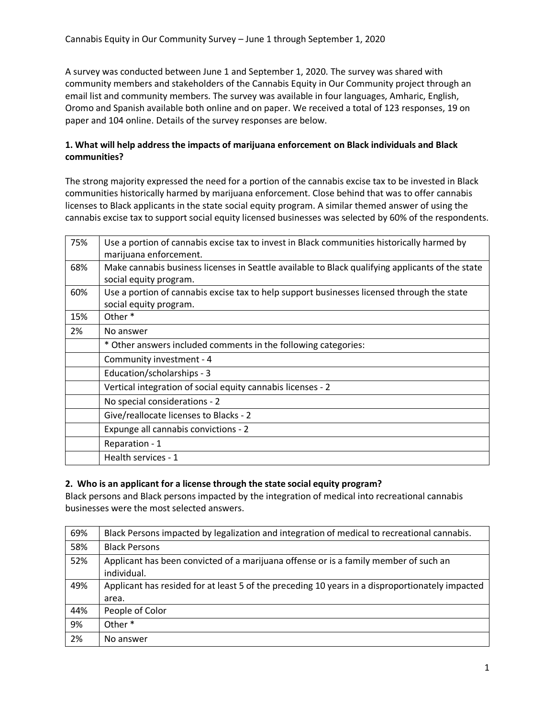A survey was conducted between June 1 and September 1, 2020. The survey was shared with community members and stakeholders of the Cannabis Equity in Our Community project through an email list and community members. The survey was available in four languages, Amharic, English, Oromo and Spanish available both online and on paper. We received a total of 123 responses, 19 on paper and 104 online. Details of the survey responses are below.

## **1. What will help address the impacts of marijuana enforcement on Black individuals and Black communities?**

The strong majority expressed the need for a portion of the cannabis excise tax to be invested in Black communities historically harmed by marijuana enforcement. Close behind that was to offer cannabis licenses to Black applicants in the state social equity program. A similar themed answer of using the cannabis excise tax to support social equity licensed businesses was selected by 60% of the respondents.

| 75% | Use a portion of cannabis excise tax to invest in Black communities historically harmed by       |
|-----|--------------------------------------------------------------------------------------------------|
|     | marijuana enforcement.                                                                           |
| 68% | Make cannabis business licenses in Seattle available to Black qualifying applicants of the state |
|     | social equity program.                                                                           |
| 60% | Use a portion of cannabis excise tax to help support businesses licensed through the state       |
|     | social equity program.                                                                           |
| 15% | Other <sup>*</sup>                                                                               |
| 2%  | No answer                                                                                        |
|     | * Other answers included comments in the following categories:                                   |
|     | Community investment - 4                                                                         |
|     | Education/scholarships - 3                                                                       |
|     | Vertical integration of social equity cannabis licenses - 2                                      |
|     | No special considerations - 2                                                                    |
|     | Give/reallocate licenses to Blacks - 2                                                           |
|     | Expunge all cannabis convictions - 2                                                             |
|     | Reparation - 1                                                                                   |
|     | Health services - 1                                                                              |
|     |                                                                                                  |

## **2. Who is an applicant for a license through the state social equity program?**

Black persons and Black persons impacted by the integration of medical into recreational cannabis businesses were the most selected answers.

| 69% | Black Persons impacted by legalization and integration of medical to recreational cannabis.         |
|-----|-----------------------------------------------------------------------------------------------------|
| 58% | <b>Black Persons</b>                                                                                |
| 52% | Applicant has been convicted of a marijuana offense or is a family member of such an<br>individual. |
| 49% | Applicant has resided for at least 5 of the preceding 10 years in a disproportionately impacted     |
|     | area.                                                                                               |
| 44% | People of Color                                                                                     |
| 9%  | Other <sup>*</sup>                                                                                  |
| 2%  | No answer                                                                                           |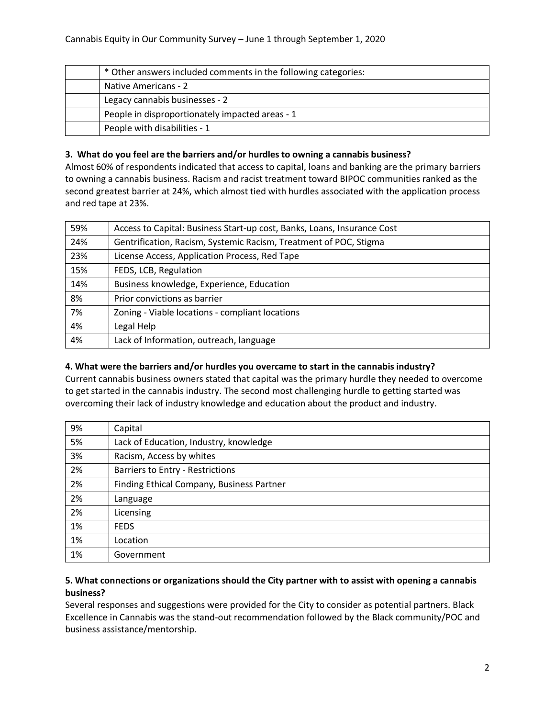| * Other answers included comments in the following categories: |
|----------------------------------------------------------------|
| Native Americans - 2                                           |
| Legacy cannabis businesses - 2                                 |
| People in disproportionately impacted areas - 1                |
| People with disabilities - 1                                   |

## **3. What do you feel are the barriers and/or hurdles to owning a cannabis business?**

Almost 60% of respondents indicated that access to capital, loans and banking are the primary barriers to owning a cannabis business. Racism and racist treatment toward BIPOC communities ranked as the second greatest barrier at 24%, which almost tied with hurdles associated with the application process and red tape at 23%.

| 59% | Access to Capital: Business Start-up cost, Banks, Loans, Insurance Cost |
|-----|-------------------------------------------------------------------------|
| 24% | Gentrification, Racism, Systemic Racism, Treatment of POC, Stigma       |
| 23% | License Access, Application Process, Red Tape                           |
| 15% | FEDS, LCB, Regulation                                                   |
| 14% | Business knowledge, Experience, Education                               |
| 8%  | Prior convictions as barrier                                            |
| 7%  | Zoning - Viable locations - compliant locations                         |
| 4%  | Legal Help                                                              |
| 4%  | Lack of Information, outreach, language                                 |

## **4. What were the barriers and/or hurdles you overcame to start in the cannabis industry?**

Current cannabis business owners stated that capital was the primary hurdle they needed to overcome to get started in the cannabis industry. The second most challenging hurdle to getting started was overcoming their lack of industry knowledge and education about the product and industry.

| 9% | Capital                                   |
|----|-------------------------------------------|
| 5% | Lack of Education, Industry, knowledge    |
| 3% | Racism, Access by whites                  |
| 2% | <b>Barriers to Entry - Restrictions</b>   |
| 2% | Finding Ethical Company, Business Partner |
| 2% | Language                                  |
| 2% | Licensing                                 |
| 1% | <b>FEDS</b>                               |
| 1% | Location                                  |
| 1% | Government                                |

## **5. What connections or organizations should the City partner with to assist with opening a cannabis business?**

Several responses and suggestions were provided for the City to consider as potential partners. Black Excellence in Cannabis was the stand-out recommendation followed by the Black community/POC and business assistance/mentorship.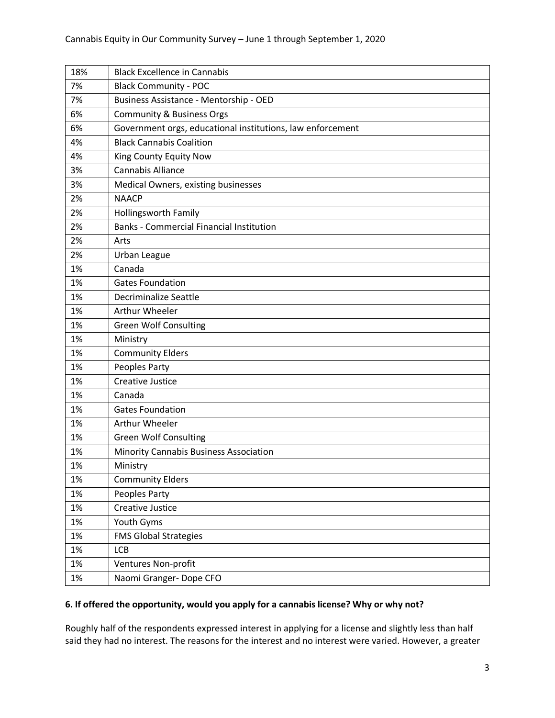| 18% | <b>Black Excellence in Cannabis</b>                        |
|-----|------------------------------------------------------------|
| 7%  | <b>Black Community - POC</b>                               |
| 7%  | Business Assistance - Mentorship - OED                     |
| 6%  | <b>Community &amp; Business Orgs</b>                       |
| 6%  | Government orgs, educational institutions, law enforcement |
| 4%  | <b>Black Cannabis Coalition</b>                            |
| 4%  | King County Equity Now                                     |
| 3%  | <b>Cannabis Alliance</b>                                   |
| 3%  | Medical Owners, existing businesses                        |
| 2%  | <b>NAACP</b>                                               |
| 2%  | <b>Hollingsworth Family</b>                                |
| 2%  | <b>Banks - Commercial Financial Institution</b>            |
| 2%  | Arts                                                       |
| 2%  | Urban League                                               |
| 1%  | Canada                                                     |
| 1%  | <b>Gates Foundation</b>                                    |
| 1%  | Decriminalize Seattle                                      |
| 1%  | Arthur Wheeler                                             |
| 1%  | <b>Green Wolf Consulting</b>                               |
| 1%  | Ministry                                                   |
| 1%  | <b>Community Elders</b>                                    |
| 1%  | Peoples Party                                              |
| 1%  | <b>Creative Justice</b>                                    |
| 1%  | Canada                                                     |
| 1%  | <b>Gates Foundation</b>                                    |
| 1%  | Arthur Wheeler                                             |
| 1%  | <b>Green Wolf Consulting</b>                               |
| 1%  | Minority Cannabis Business Association                     |
| 1%  | Ministry                                                   |
| 1%  | <b>Community Elders</b>                                    |
| 1%  | Peoples Party                                              |
| 1%  | Creative Justice                                           |
| 1%  | Youth Gyms                                                 |
| 1%  | <b>FMS Global Strategies</b>                               |
| 1%  | <b>LCB</b>                                                 |
| 1%  | Ventures Non-profit                                        |
| 1%  | Naomi Granger-Dope CFO                                     |

# **6. If offered the opportunity, would you apply for a cannabis license? Why or why not?**

Roughly half of the respondents expressed interest in applying for a license and slightly less than half said they had no interest. The reasons for the interest and no interest were varied. However, a greater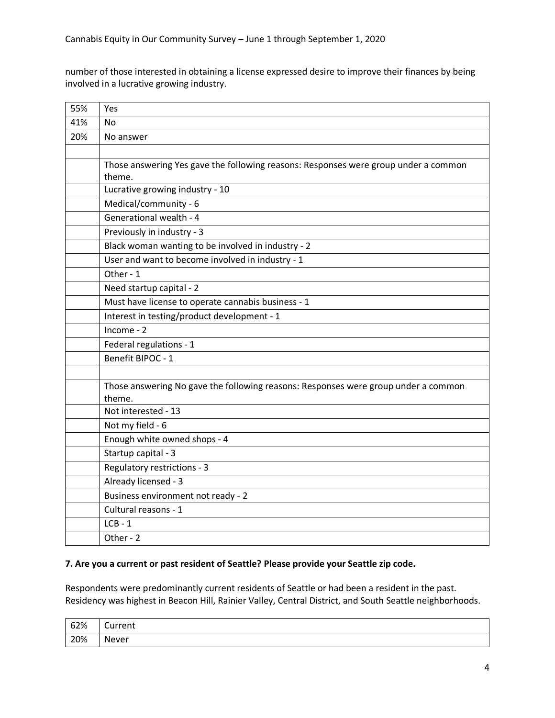number of those interested in obtaining a license expressed desire to improve their finances by being involved in a lucrative growing industry.

| 55% | Yes                                                                                 |
|-----|-------------------------------------------------------------------------------------|
| 41% | No                                                                                  |
| 20% | No answer                                                                           |
|     |                                                                                     |
|     | Those answering Yes gave the following reasons: Responses were group under a common |
|     | theme.                                                                              |
|     | Lucrative growing industry - 10                                                     |
|     | Medical/community - 6                                                               |
|     | Generational wealth - 4                                                             |
|     | Previously in industry - 3                                                          |
|     | Black woman wanting to be involved in industry - 2                                  |
|     | User and want to become involved in industry - 1                                    |
|     | Other - 1                                                                           |
|     | Need startup capital - 2                                                            |
|     | Must have license to operate cannabis business - 1                                  |
|     | Interest in testing/product development - 1                                         |
|     | Income - 2                                                                          |
|     | Federal regulations - 1                                                             |
|     | Benefit BIPOC - 1                                                                   |
|     |                                                                                     |
|     | Those answering No gave the following reasons: Responses were group under a common  |
|     | theme.                                                                              |
|     | Not interested - 13                                                                 |
|     | Not my field - 6                                                                    |
|     | Enough white owned shops - 4                                                        |
|     | Startup capital - 3                                                                 |
|     | Regulatory restrictions - 3                                                         |
|     | Already licensed - 3                                                                |
|     | Business environment not ready - 2                                                  |
|     | Cultural reasons - 1                                                                |
|     | $LCB - 1$                                                                           |
|     | Other - 2                                                                           |

### **7. Are you a current or past resident of Seattle? Please provide your Seattle zip code.**

Respondents were predominantly current residents of Seattle or had been a resident in the past. Residency was highest in Beacon Hill, Rainier Valley, Central District, and South Seattle neighborhoods.

| 62% | -<br>$  -$<br>Current |
|-----|-----------------------|
| 20% | Never                 |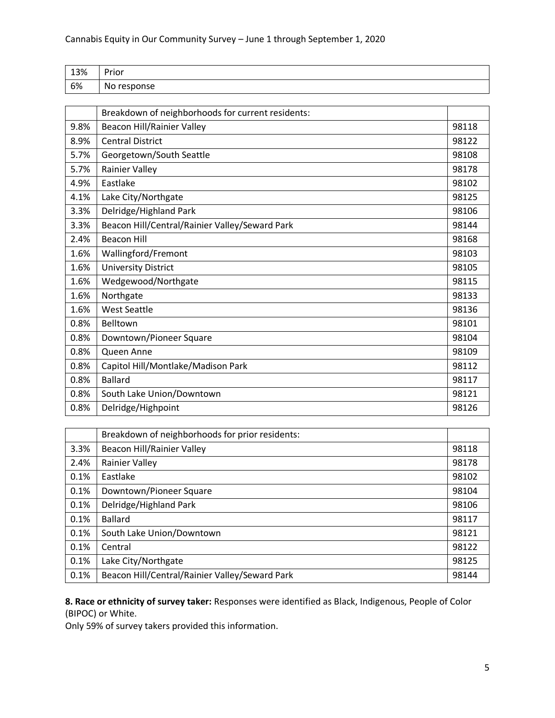| 13% | Prior           |
|-----|-----------------|
| 6%  | No.<br>response |

|      | Breakdown of neighborhoods for current residents: |       |
|------|---------------------------------------------------|-------|
| 9.8% | Beacon Hill/Rainier Valley                        | 98118 |
| 8.9% | <b>Central District</b>                           | 98122 |
| 5.7% | Georgetown/South Seattle                          | 98108 |
| 5.7% | Rainier Valley                                    | 98178 |
| 4.9% | Eastlake                                          | 98102 |
| 4.1% | Lake City/Northgate                               | 98125 |
| 3.3% | Delridge/Highland Park                            | 98106 |
| 3.3% | Beacon Hill/Central/Rainier Valley/Seward Park    | 98144 |
| 2.4% | <b>Beacon Hill</b>                                | 98168 |
| 1.6% | Wallingford/Fremont                               | 98103 |
| 1.6% | <b>University District</b>                        | 98105 |
| 1.6% | Wedgewood/Northgate                               | 98115 |
| 1.6% | Northgate                                         | 98133 |
| 1.6% | <b>West Seattle</b>                               | 98136 |
| 0.8% | Belltown                                          | 98101 |
| 0.8% | Downtown/Pioneer Square                           | 98104 |
| 0.8% | Queen Anne                                        | 98109 |
| 0.8% | Capitol Hill/Montlake/Madison Park                | 98112 |
| 0.8% | <b>Ballard</b>                                    | 98117 |
| 0.8% | South Lake Union/Downtown                         | 98121 |
| 0.8% | Delridge/Highpoint                                | 98126 |

|      | Breakdown of neighborhoods for prior residents: |       |
|------|-------------------------------------------------|-------|
| 3.3% | Beacon Hill/Rainier Valley                      | 98118 |
| 2.4% | Rainier Valley                                  | 98178 |
| 0.1% | Eastlake                                        | 98102 |
| 0.1% | Downtown/Pioneer Square                         | 98104 |
| 0.1% | Delridge/Highland Park                          | 98106 |
| 0.1% | <b>Ballard</b>                                  | 98117 |
| 0.1% | South Lake Union/Downtown                       | 98121 |
| 0.1% | Central                                         | 98122 |
| 0.1% | Lake City/Northgate                             | 98125 |
| 0.1% | Beacon Hill/Central/Rainier Valley/Seward Park  | 98144 |

**8. Race or ethnicity of survey taker:** Responses were identified as Black, Indigenous, People of Color (BIPOC) or White.

Only 59% of survey takers provided this information.